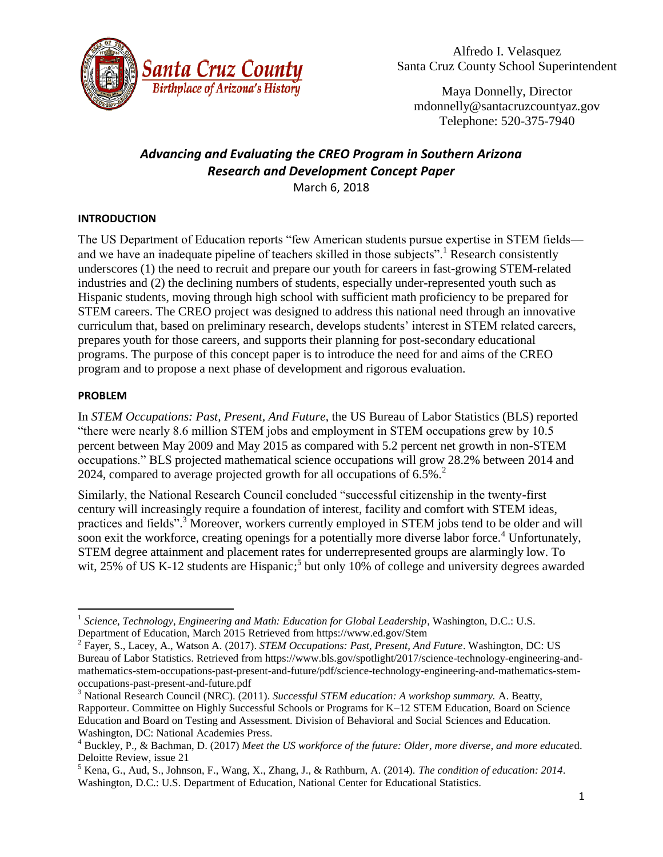

Alfredo I. Velasquez Santa Cruz County School Superintendent

Maya Donnelly, Director mdonnelly@santacruzcountyaz.gov Telephone: 520-375-7940

# *Advancing and Evaluating the CREO Program in Southern Arizona Research and Development Concept Paper*

March 6, 2018

## **INTRODUCTION**

The US Department of Education reports "few American students pursue expertise in STEM fields and we have an inadequate pipeline of teachers skilled in those subjects".<sup>1</sup> Research consistently underscores (1) the need to recruit and prepare our youth for careers in fast-growing STEM-related industries and (2) the declining numbers of students, especially under-represented youth such as Hispanic students, moving through high school with sufficient math proficiency to be prepared for STEM careers. The CREO project was designed to address this national need through an innovative curriculum that, based on preliminary research, develops students' interest in STEM related careers, prepares youth for those careers, and supports their planning for post-secondary educational programs. The purpose of this concept paper is to introduce the need for and aims of the CREO program and to propose a next phase of development and rigorous evaluation.

## **PROBLEM**

 $\overline{\phantom{a}}$ 

In *STEM Occupations: Past, Present, And Future*, the US Bureau of Labor Statistics (BLS) reported "there were nearly 8.6 million STEM jobs and employment in STEM occupations grew by 10.5 percent between May 2009 and May 2015 as compared with 5.2 percent net growth in non-STEM occupations." BLS projected mathematical science occupations will grow 28.2% between 2014 and 2024, compared to average projected growth for all occupations of  $6.5\%$ <sup>2</sup>

Similarly, the National Research Council concluded "successful citizenship in the twenty-first century will increasingly require a foundation of interest, facility and comfort with STEM ideas, practices and fields".<sup>3</sup> Moreover, workers currently employed in STEM jobs tend to be older and will soon exit the workforce, creating openings for a potentially more diverse labor force.<sup>4</sup> Unfortunately, STEM degree attainment and placement rates for underrepresented groups are alarmingly low. To wit, 25% of US K-12 students are Hispanic;<sup>5</sup> but only 10% of college and university degrees awarded

<sup>&</sup>lt;sup>1</sup> Science, Technology, Engineering and Math: Education for Global Leadership, Washington, D.C.: U.S. Department of Education, March 2015 Retrieved from https://www.ed.gov/Stem

<sup>2</sup> Fayer, S., Lacey, A., Watson A. (2017). *STEM Occupations: Past, Present, And Future*. Washington, DC: US Bureau of Labor Statistics. Retrieved from https://www.bls.gov/spotlight/2017/science-technology-engineering-andmathematics-stem-occupations-past-present-and-future/pdf/science-technology-engineering-and-mathematics-stemoccupations-past-present-and-future.pdf

<sup>3</sup> National Research Council (NRC). (2011). *Successful STEM education: A workshop summary.* A. Beatty, Rapporteur. Committee on Highly Successful Schools or Programs for K–12 STEM Education, Board on Science Education and Board on Testing and Assessment. Division of Behavioral and Social Sciences and Education. Washington, DC: National Academies Press.

<sup>4</sup> Buckley, P., & Bachman, D. (2017) *Meet the US workforce of the future: Older, more diverse, and more educate*d. Deloitte Review, issue 21

<sup>5</sup> Kena, G., Aud, S., Johnson, F., Wang, X., Zhang, J., & Rathburn, A. (2014). *The condition of education: 2014*. Washington, D.C.: U.S. Department of Education, National Center for Educational Statistics.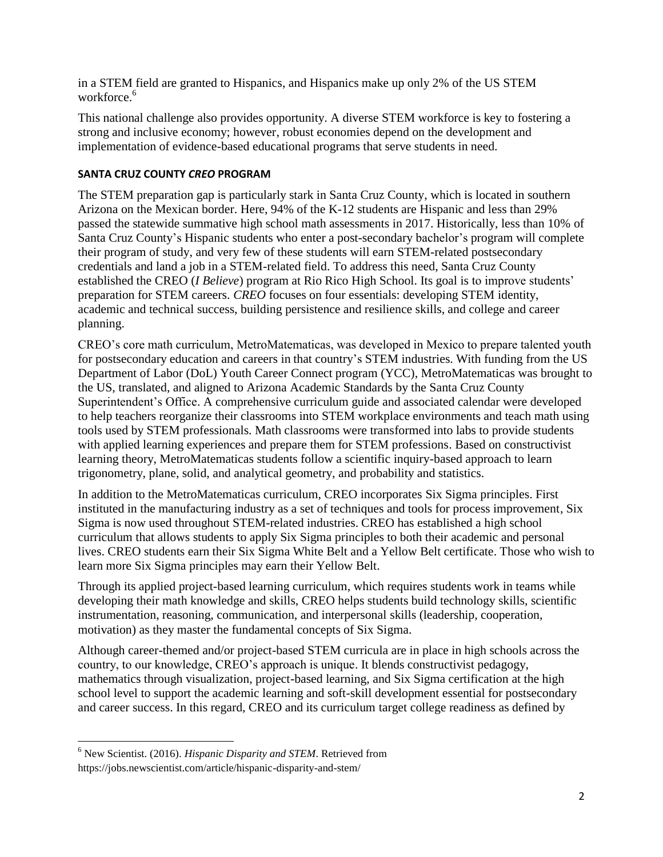in a STEM field are granted to Hispanics, and Hispanics make up only 2% of the US STEM workforce.<sup>6</sup>

This national challenge also provides opportunity. A diverse STEM workforce is key to fostering a strong and inclusive economy; however, robust economies depend on the development and implementation of evidence-based educational programs that serve students in need.

## **SANTA CRUZ COUNTY** *CREO* **PROGRAM**

The STEM preparation gap is particularly stark in Santa Cruz County, which is located in southern Arizona on the Mexican border. Here, 94% of the K-12 students are Hispanic and less than 29% passed the statewide summative high school math assessments in 2017. Historically, less than 10% of Santa Cruz County's Hispanic students who enter a post-secondary bachelor's program will complete their program of study, and very few of these students will earn STEM-related postsecondary credentials and land a job in a STEM-related field. To address this need, Santa Cruz County established the CREO (*I Believe*) program at Rio Rico High School. Its goal is to improve students' preparation for STEM careers. *CREO* focuses on four essentials: developing STEM identity, academic and technical success, building persistence and resilience skills, and college and career planning.

CREO's core math curriculum, MetroMatematicas, was developed in Mexico to prepare talented youth for postsecondary education and careers in that country's STEM industries. With funding from the US Department of Labor (DoL) Youth Career Connect program (YCC), MetroMatematicas was brought to the US, translated, and aligned to Arizona Academic Standards by the Santa Cruz County Superintendent's Office. A comprehensive curriculum guide and associated calendar were developed to help teachers reorganize their classrooms into STEM workplace environments and teach math using tools used by STEM professionals. Math classrooms were transformed into labs to provide students with applied learning experiences and prepare them for STEM professions. Based on constructivist learning theory, MetroMatematicas students follow a scientific inquiry-based approach to learn trigonometry, plane, solid, and analytical geometry, and probability and statistics.

In addition to the MetroMatematicas curriculum, CREO incorporates Six Sigma principles. First instituted in the manufacturing industry as a set of techniques and tools for process improvement, Six Sigma is now used throughout STEM-related industries. CREO has established a high school curriculum that allows students to apply Six Sigma principles to both their academic and personal lives. CREO students earn their Six Sigma White Belt and a Yellow Belt certificate. Those who wish to learn more Six Sigma principles may earn their Yellow Belt.

Through its applied project-based learning curriculum, which requires students work in teams while developing their math knowledge and skills, CREO helps students build technology skills, scientific instrumentation, reasoning, communication, and interpersonal skills (leadership, cooperation, motivation) as they master the fundamental concepts of Six Sigma.

Although career-themed and/or project-based STEM curricula are in place in high schools across the country, to our knowledge, CREO's approach is unique. It blends constructivist pedagogy, mathematics through visualization, project-based learning, and Six Sigma certification at the high school level to support the academic learning and soft-skill development essential for postsecondary and career success. In this regard, CREO and its curriculum target college readiness as defined by

 $\overline{\phantom{a}}$ 

<sup>6</sup> New Scientist. (2016). *Hispanic Disparity and STEM*. Retrieved from https://jobs.newscientist.com/article/hispanic-disparity-and-stem/